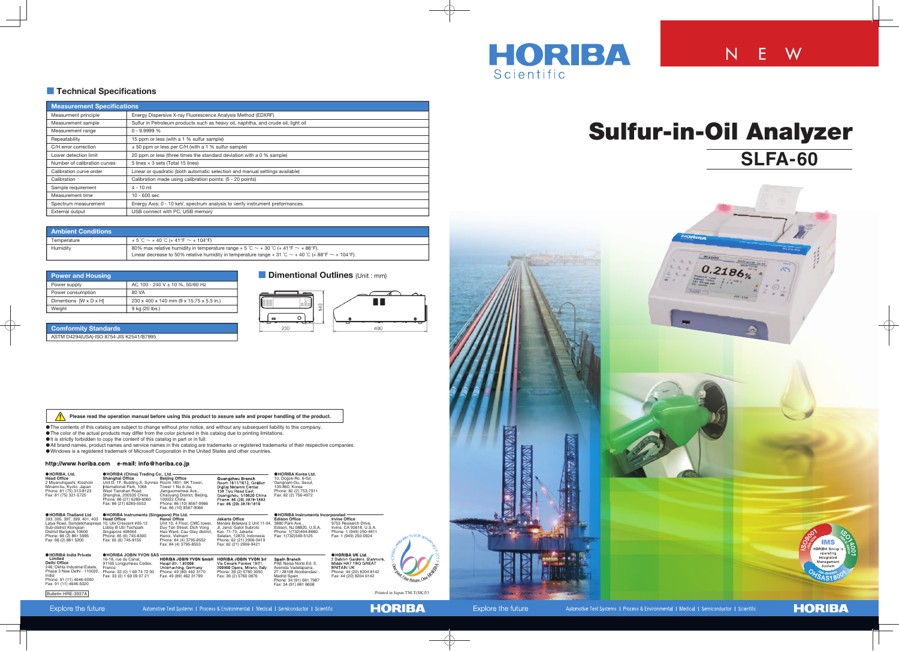

### **EXECUTE: The Christial Specifications**

# **Sulfur-in-Oil Analyzer SLFA-60**



# N E W

| <b>Measurement Specifications</b> |                                                                                   |  |  |  |
|-----------------------------------|-----------------------------------------------------------------------------------|--|--|--|
| Measurment principle              | Energy Dispersive X-ray Fluorescence Analysis Method (EDXRF)                      |  |  |  |
| Measurement sample                | Sulfur in Petroleum products such as heavy oil, naphtha, and crude oil, light oil |  |  |  |
| Measurement range                 | $0 - 9.9999 %$                                                                    |  |  |  |
| Repeatability                     | 15 ppm or less (with a 1 % sulfur sample)                                         |  |  |  |
| C/H error correction              | $\pm$ 50 ppm or less per C/H (with a 1 % sulfur sample)                           |  |  |  |
| Lower detection limit             | 20 ppm or less (three times the standard deviation with a 0 % sample)             |  |  |  |
| Number of calibration curves      | 5 lines $\times$ 3 sets (Total 15 lines)                                          |  |  |  |
| Calibration curve order           | Linear or quadratic (both automatic selection and manual settings available)      |  |  |  |
| Calibration                       | Calibration made using calibration points: (5 - 20 points)                        |  |  |  |
| Sample requirement                | $4 - 10$ ml                                                                       |  |  |  |
| Measurement time                  | $10 - 600$ sec                                                                    |  |  |  |
| Spectrum measurement              | Energy Axis: 0 - 10 keV, spectrum analysis to verify instrument preformances.     |  |  |  |
| External output                   | USB connect with PC, USB memory                                                   |  |  |  |

| <b>Power and Housing</b>           |                                          |  |  |  |  |
|------------------------------------|------------------------------------------|--|--|--|--|
| Power supply                       | AC 100 - 240 V $\pm$ 10 %, 50/60 Hz      |  |  |  |  |
| Power consumption                  | 80 VA                                    |  |  |  |  |
| Dimentions $[W \times D \times H]$ | 230 x 400 x 140 mm (9 x 15.75 x 5.5 in.) |  |  |  |  |
| Weight                             | 9 kg (20 lbs.)                           |  |  |  |  |

#### **Comformity Standards**

ASTM D4294(USA)·ISO 8754·JIS K2541/B7995

## **Bullimes** (Unit : mm)



| <b>Ambient Conditions</b> |                                                                                                                 |  |  |  |
|---------------------------|-----------------------------------------------------------------------------------------------------------------|--|--|--|
| Temperature               | $+5^{\circ}$ C $\sim$ + 40 $^{\circ}$ C (+ 41 °F $\sim$ + 104 °F)                                               |  |  |  |
| Humidity                  | 80% max relative humidity in temperature range + 5 °C $\sim$ + 30 °C (+ 41 °F $\sim$ + 86 °F).                  |  |  |  |
|                           | Linear decrease to 50% relative humidity in temperature range + 31 °C $\sim$ + 40 °C (+ 88 °F $\sim$ + 104 °F). |  |  |  |

| <b>OHORIBA, Ltd.</b><br><b>Head Office</b><br>2 Miyanohigashi, Kisshoin<br>Minami-ku, Kyoto, Japan<br>Phone: 81 (75) 313-8123<br>Fax: 81 (75) 321-5725                                                                  | <b>OHORIBA (China) Trading Co., Ltd.</b><br>Shanghai Office<br>Unit D, 1F, Building A, Synnex Room 1801, SK Tower,<br>International Park, 1068<br>West Tianshan Road,<br>Shanghai, 200335 China<br>Phone: 86 (21) 6289-6060<br>Fax: 86 (21) 6289-5553 | <b>Beijing Office</b><br>Tower 1 No.6 Jia.<br>Jianguomenwai Ave.,<br>Chaoyang District, Beijing,<br>100022 China<br>Phone: 86 (10) 8567-9966<br>Fax: 86 (10) 8567-9066                 | Guangzhou Branch<br>Room 1611/1612, Goldion<br>Digital Network Centar,<br>138 Tiyu Road East,<br>Guangzhou, 510620 China<br>Phone: 86 (20) 3878-1883<br>Fax: 86 (20) 3878-1810       | <b>OHORIBA Korea Ltd.</b><br>10, Dogok-Ro, 6-Gil,<br>Gangnam-Gu, Seoul,<br>135-860, Korea<br>Phone: 82 (2) 753-7911<br>Fax: 82 (2) 756-4972                          |                                                                                                                                                          |                                   |
|-------------------------------------------------------------------------------------------------------------------------------------------------------------------------------------------------------------------------|-------------------------------------------------------------------------------------------------------------------------------------------------------------------------------------------------------------------------------------------------------|----------------------------------------------------------------------------------------------------------------------------------------------------------------------------------------|--------------------------------------------------------------------------------------------------------------------------------------------------------------------------------------|----------------------------------------------------------------------------------------------------------------------------------------------------------------------|----------------------------------------------------------------------------------------------------------------------------------------------------------|-----------------------------------|
| <b>OHORIBA Thailand Ltd</b><br>393, 395, 397, 399, 401, 403<br>Latya Road, Somdetchaopraya 10, Ubi Crescent #05-12<br>Sub-district Klongsan<br>District Bangkok 10600<br>Phone: 66 (2) 861 5995<br>Fax: 66 (2) 861 5200 | <b>OHORIBA Instruments (Singapore) Pte Ltd.</b><br><b>Head Office</b><br>Lobby B Ubi Techpark<br>Singapore 408564<br>Phone: 65 (6) 745-8300<br>Fax: 65 (6) 745-8155                                                                                   | <b>Hanoi Office</b><br>Unit 10, 4 Floor, CMC tower,<br>Duy Tan Street, Dich Vong<br>Hau Ward, Cau Giay district,<br>Hanoi, Vietnam<br>Phone: 84 (4) 3795-8552<br>Fax: 84 (4) 3795-8553 | Jakarta Office<br>Menara Bidakara 2 Unit 11-04.<br>JI. Jend. Gatot Subroto<br>Kav. 71-73. Jakarta<br>Selatan, 12870, Indonesia<br>Phone: 62 (21) 2906-9419<br>Fax: 62 (21) 2906-9421 | <b>OHORIBA Instruments Incorporated</b><br><b>Edison Office</b><br>3880 Park Ave.,<br>Edison, NJ 08820, U.S.A.<br>Phone: 1(732)494-8660<br>Fax: 1(732)549-5125       | <b>Irvine Office</b><br>9755 Research Drive,<br>Irvine, CA 92618, U.S.A.<br>Phone: 1 (949) 250-4811<br>Fax: 1 (949) 250-0924                             | RIBI <sub>CON</sub>               |
| <b>OHORIBA India Private</b><br>Limited<br>Delhi Office<br>246, Okhla Industrial Estate,<br>Phase 3 New Delhi - 110020.<br>India<br>Phone: 91 (11) 4646-5000<br>Fax: 91 (11) 4646-5020<br>Bulletin: HRE-3937A           | <b>OHORIBA JOBIN YVON SAS</b><br>16-18, rue du Canal,<br>91165 Longjumeau Cedex,<br>France<br>Phone: 33 (0) 1 69 74 72 00<br>Fax: 33 (0) 1 69 09 07 21                                                                                                | <b>HORIBA JOBIN YVON GmbH</b><br>Haupt Str. 1,82008<br>Unterhaching, Germany<br>Phone: 49 (89) 462 3170<br>Fax: 49 (89) 462 31799                                                      | <b>HORIBA JOBIN YVON Sri</b><br>Via Cesare Pavese 19/21.<br>200900 Opera, Mirano, Italy<br>Phone: 39 (2) 5760 3050<br>Fax: 39 (2) 5760 0876                                          | Spain Branch<br>PAE Neisa Norte Ed. II,<br>Avenida Vadelaparra,<br>27 / 28108 Alcobendas/<br><b>Madrid Spain</b><br>Phone: 34 (91) 661 7987<br>Fax: 34 (91) 661 6658 | <b>OHORIBA UK Ltd.</b><br>2 Dalston Gardens, Stanmore,<br>Middx HA7 1BQ GREAT<br><b>BRITAIN UK</b><br>Phone: 44 (20) 8204 8142<br>Fax: 44 (20) 8204 6142 | Se<br>Printed in Japan TM-T(SK)53 |

 **Please read the operation manual before using this product to assure safe and proper handling of the product.**

The contents of this catalog are subject to change without prior notice, and without any subsequent liability to this company.

The color of the actual products may differ from the color pictured in this catalog due to printing limitations.

It is strictly forbidden to copy the content of this catalog in part or in full.

All brand names, product names and service names in this catalog are trademarks or registered trademarks of their respective companies. Windows is a registered trademark of Microsoft Corporation in the United States and other countries.

#### http://www.horiba.com e-mail: info@horiba.co.jp